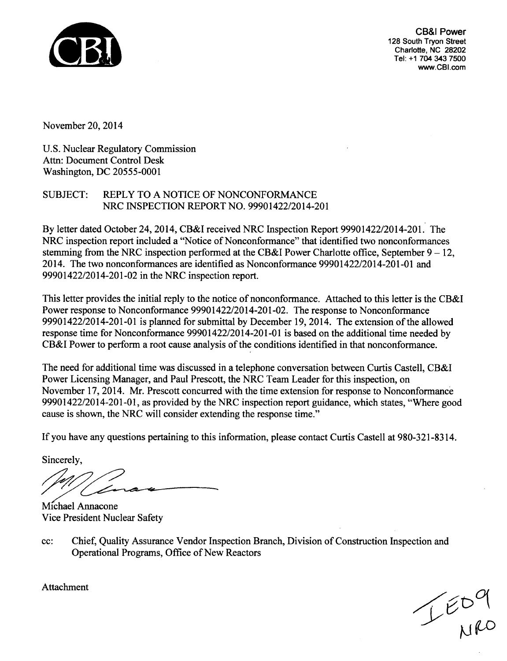

CB&I Power 128 South Tryon Street Charlotte, NC 28202 Tel: +1 704 343 7500 www.CBI.com

November 20, 2014

U.S. Nuclear Regulatory Commission Attn: Document Control Desk Washington, DC 20555-0001

### SUBJECT: REPLY TO A NOTICE OF NONCONFORMANCE NRC INSPECTION REPORT NO. 99901422/2014-201

By letter dated October 24, 2014, CB&I received NRC Inspection Report 99901422/2014-201. The NRC inspection report included a "Notice of Nonconformance" that identified two nonconformances stemming from the NRC inspection performed at the CB&I Power Charlotte office, September  $9 - 12$ , 2014. The two nonconformances are identified as Nonconformance 99901422/2014-201-01 and 99901422/2014-201-02 in the NRC inspection report.

This letter provides the initial reply to the notice of nonconformance. Attached to this letter is the CB&I Power response to Nonconformance 99901422/2014-201-02. The response to Nonconformance 99901422/2014-201-01 is planned for submittal by December 19, 2014. The extension of the allowed response time for Nonconformance 99901422/2014-201-01 is based on the additional time needed by CB&I Power to perform a root cause analysis of the conditions identified in that nonconformance.

The need for additional time was discussed in a telephone conversation between Curtis Castell, CB&I Power Licensing Manager, and Paul Prescott, the NRC Team Leader for this inspection, on November 17, 2014. Mr. Prescott concurred with the time extension for response to Nonconformance 99901422/2014-201-01, as provided by the NRC inspection report guidance, which states, "Where good cause is shown, the NRC will consider extending the response time."

If you have any questions pertaining to this information, please contact Curtis Castell at 980-321-8314.

Sincerely,

Michael Annacone Vice President Nuclear Safety

cc: Chief, Quality Assurance Vendor Inspection Branch, Division of Construction Inspection and Operational Programs, Office of New Reactors

 $T^{\epsilon b}$ 

Attachment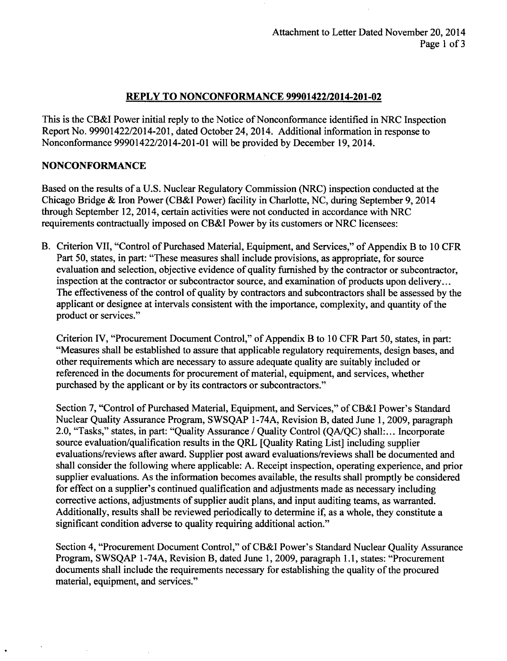#### REPLY TO **NONCONFORMANCE** 99901422/2014-201-02

This is the CB&I Power initial reply to the Notice of Nonconformance identified in NRC Inspection Report No. 99901422/2014-201, dated October 24, 2014. Additional information in response to Nonconformance 99901422/2014-201 **-01** will be provided **by** December **19,** 2014.

#### **NONCONFORMANCE**

Based on the results of a **U.S.** Nuclear Regulatory Commission (NRC) inspection conducted at the Chicago Bridge **&** Iron Power (CB&I Power) facility in Charlotte, **NC,** during September **9,** 2014 through September 12, 2014, certain activities were not conducted in accordance with NRC requirements contractually imposed on CB&I Power **by** its customers or NRC licensees:

B. Criterion VII, "Control of Purchased Material, Equipment, and Services," of Appendix B to **10** CFR Part 50, states, in part: "These measures shall include provisions, as appropriate, for source evaluation and selection, objective evidence of quality furnished **by** the contractor or subcontractor, inspection at the contractor or subcontractor source, and examination of products upon delivery... The effectiveness of the control of quality **by** contractors and subcontractors shall be assessed **by** the applicant or designee at intervals consistent with the importance, complexity, and quantity of the product or services."

Criterion IV, "Procurement Document Control," of Appendix B to **10** CFR Part **5 0,** states, in part: "Measures shall be established to assure that applicable regulatory requirements, design bases, and other requirements which are necessary to assure adequate quality are suitably included or referenced in the documents for procurement of material, equipment, and services, whether purchased **by** the applicant or **by** its contractors or subcontractors."

Section **7,** "Control of Purchased Material, Equipment, and Services," of CB&I Power's Standard Nuclear Quality Assurance Program, **SWSQAP** 1-74A, Revision B, dated June **1, 2009,** paragraph 2.0, "Tasks," states, in part: "Quality Assurance **/** Quality Control **(QA/QC)** shall:... Incorporate source evaluation/qualification results in the QRL [Quality Rating List] including supplier evaluations/reviews after award. Supplier post award evaluations/reviews shall be documented and shall consider the following where applicable: **A.** Receipt inspection, operating experience, and prior supplier evaluations. As the information becomes available, the results shall promptly be considered for effect on a supplier's continued qualification and adjustments made as necessary including corrective actions, adjustments of supplier audit plans, and input auditing teams, as warranted. Additionally, results shall be reviewed periodically to determine if, as a whole, they constitute a significant condition adverse to quality requiring additional action."

Section 4, "Procurement Document Control," of CB&I Power's Standard Nuclear Quality Assurance Program, **SWSQAP** 1-74A, Revision B, dated June **1, 2009,** paragraph **1. 1,** states: "Procurement documents shall include the requirements necessary for establishing the quality of the procured material, equipment, and services."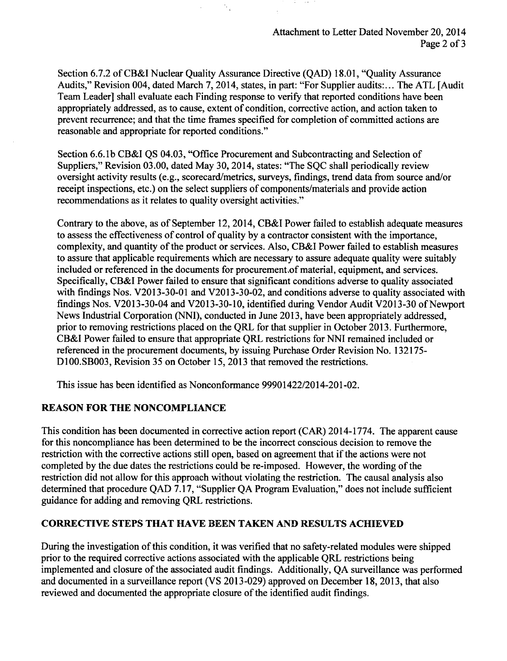Section 6.7.2 of CB&I Nuclear Quality Assurance Directive (QAD) 18.01, "Quality Assurance Audits," Revision 004, dated March 7, 2014, states, in part: "For Supplier audits:... The ATL [Audit Team Leader] shall evaluate each Finding response to verify that reported conditions have been appropriately addressed, as to cause, extent of condition, corrective action, and action taken to prevent recurrence; and that the time frames specified for completion of committed actions are reasonable and appropriate for reported conditions."

Section 6.6. lb CB&I QS 04.03, "Office Procurement and Subcontracting and Selection of Suppliers," Revision 03.00, dated May 30, 2014, states: "The SQC shall periodically review oversight activity results (e.g., scorecard/metrics, surveys, findings, trend data from source and/or receipt inspections, etc.) on the select suppliers of components/materials and provide action recommendations as it relates to quality oversight activities."

Contrary to the above, as of September 12, 2014, CB&I Power failed to establish adequate measures to assess the effectiveness of control of quality by a contractor consistent with the importance, complexity, and quantity of the product or services. Also, CB&I Power failed to establish measures to assure that applicable requirements which are necessary to assure adequate quality were suitably included or referenced in the documents for procurement.of material, equipment, and services. Specifically, CB&I Power failed to ensure that significant conditions adverse to quality associated with findings Nos. V2013-30-01 and V2013-30-02, and conditions adverse to quality associated with findings Nos. V2013-30-04 and V2013-30-10, identified during Vendor Audit V2013-30 of Newport News Industrial Corporation (NNI), conducted in June 2013, have been appropriately addressed, prior to removing restrictions placed on the QRL for that supplier in October 2013. Furthermore, CB&I Power failed to ensure that appropriate QRL restrictions for **NNI** remained included or referenced in the procurement documents, by issuing Purchase Order Revision No. 132175- **D100.SB003,** Revision 35 on October 15, 2013 that removed the restrictions.

This issue has been identified as Nonconformance 99901422/2014-201-02.

#### REASON FOR THE **NONCOMPLIANCE**

This condition has been documented in corrective action report (CAR) 2014-1774. The apparent cause for this noncompliance has been determined to be the incorrect conscious decision to remove the restriction with the corrective actions still open, based on agreement that if the actions were not completed by the due dates the restrictions could be re-imposed. However, the wording of the restriction did not allow for this approach without violating the restriction. The causal analysis also determined that procedure QAD 7.17, "Supplier QA Program Evaluation," does not include sufficient guidance for adding and removing QRL restrictions.

#### CORRECTIVE **STEPS** THAT **HAVE** BEEN TAKEN AND RESULTS ACHIEVED

During the investigation of this condition, it was verified that no safety-related modules were shipped prior to the required corrective actions associated with the applicable QRL restrictions being implemented and closure of the associated audit findings. Additionally, QA surveillance was performed and documented in a surveillance report (VS 2013-029) approved on December 18, 2013, that also reviewed and documented the appropriate closure of the identified audit findings.